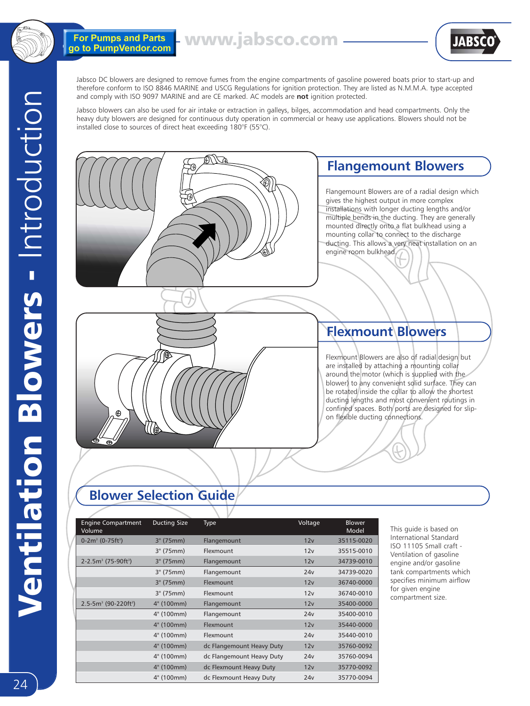

For Pumps and Parts<br>go to PumpVendor.com

www.jabsco.com



Jabsco DC blowers are designed to remove fumes from the engine compartments of gasoline powered boats prior to start-up and therefore conform to ISO 8846 MARINE and USCG Regulations for ignition protection. They are listed as N.M.M.A. type accepted and comply with ISO 9097 MARINE and are CE marked. AC models are **not** ignition protected.

Jabsco blowers can also be used for air intake or extraction in galleys, bilges, accommodation and head compartments. Only the heavy duty blowers are designed for continuous duty operation in commercial or heavy use applications. Blowers should not be installed close to sources of direct heat exceeding 180°F (55°C).



# **Blower Selection Guide**

| <b>Engine Compartment</b><br>Volume  | <b>Ducting Size</b> | <b>Type</b>               | Voltage | <b>Blower</b><br>Model |
|--------------------------------------|---------------------|---------------------------|---------|------------------------|
| $0-2m^3$ (0-75ft <sup>3</sup> )      | 3" (75mm)           | Flangemount               | 12v     | 35115-0020             |
|                                      | 3" (75mm)           | Flexmount                 | 12v     | 35515-0010             |
| $2 - 2.5m3$ (75-90ft <sup>3</sup> )  | 3" (75mm)           | Flangemount               | 12v     | 34739-0010             |
|                                      | 3" (75mm)           | Flangemount               | 24v     | 34739-0020             |
|                                      | 3" (75mm)           | Flexmount                 | 12v     | 36740-0000             |
|                                      | 3" (75mm)           | Flexmount                 | 12v     | 36740-0010             |
| $2.5 - 5m3$ (90-220ft <sup>3</sup> ) | 4" (100mm)          | Flangemount               | 12v     | 35400-0000             |
|                                      | 4" (100mm)          | Flangemount               | 24v     | 35400-0010             |
|                                      | 4" (100mm)          | Flexmount                 | 12v     | 35440-0000             |
|                                      | 4" (100mm)          | Flexmount                 | 24v     | 35440-0010             |
|                                      | 4" (100mm)          | dc Flangemount Heavy Duty | 12v     | 35760-0092             |
|                                      | 4" (100mm)          | dc Flangemount Heavy Duty | 24v     | 35760-0094             |
|                                      | 4" (100mm)          | dc Flexmount Heavy Duty   | 12v     | 35770-0092             |
|                                      | 4" (100mm)          | dc Flexmount Heavy Duty   | 24v     | 35770-0094             |

This guide is based on International Standard ISO 11105 Small craft - Ventilation of gasoline engine and/or gasoline tank compartments which specifies minimum airflow for given engine compartment size.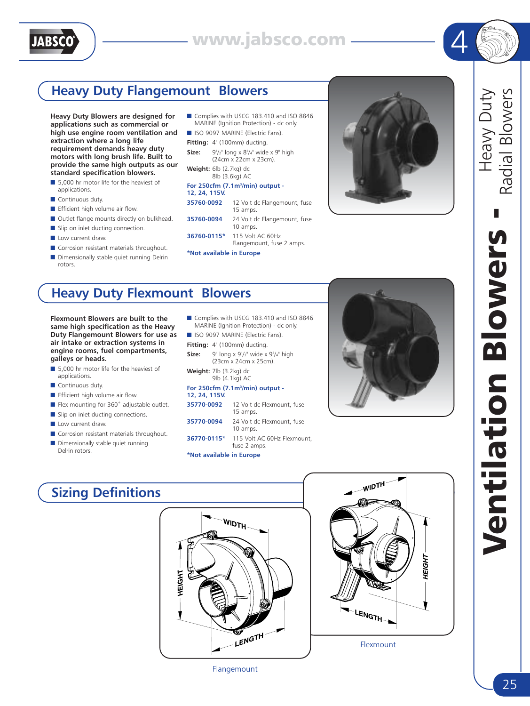



# **Heavy Duty Flangemount Blowers**

**Heavy Duty Blowers are designed for applications such as commercial or high use engine room ventilation and extraction where a long life requirement demands heavy duty motors with long brush life. Built to provide the same high outputs as our standard specification blowers.**

- 5,000 hr motor life for the heaviest of applications.
- Continuous duty.
- Efficient high volume air flow.
- Outlet flange mounts directly on bulkhead.
- Slip on inlet ducting connection.
- Low current draw.
- Corrosion resistant materials throughout.
- Dimensionally stable quiet running Delrin rotors.
- Complies with USCG 183.410 and ISO 8846 MARINE (Ignition Protection) - dc only.
- ISO 9097 MARINE (Electric Fans).
- **Fitting:** 4" (100mm) ducting.
- Size: /2" long x 83 /4" wide x 9" high (24cm x 22cm x 23cm).
- **Weight:** 6lb (2.7kg) dc 8lb (3.6kg) AC

### **For 250cfm (7.1m3 /min) output - 12, 24, 115V.**

- **35760-0092** 12 Volt dc Flangemount, fuse 15 amps. **35760-0094** 24 Volt dc Flangemount, fuse 10 amps.
- **36760-0115\*** 115 Volt AC 60Hz Flangemount, fuse 2 amps.
- **\*Not available in Europe**



4

Heavy Duty

Heavy Duty

# **Heavy Duty Flexmount Blowers**

**Flexmount Blowers are built to the same high specification as the Heavy Duty Flangemount Blowers for use as air intake or extraction systems in engine rooms, fuel compartments, galleys or heads.**

- 5,000 hr motor life for the heaviest of applications.
- Continuous duty.
- Efficient high volume air flow.
- Flex mounting for 360° adjustable outlet.
- Slip on inlet ducting connections.
- Low current draw
- Corrosion resistant materials throughout.
- Dimensionally stable quiet running Delrin rotors.
- Complies with USCG 183.410 and ISO 8846 MARINE (Ignition Protection) - dc only.
- ISO 9097 MARINE (Electric Fans).
- Fitting: 4" (100mm) ducting.
- **Size:** 9" long x 9<sup>1</sup>/<sub>2</sub>" wide x 9<sup>3</sup>/4" high (23cm x 24cm x 25cm).
- **Weight:** 7lb (3.2kg) dc 9lb (4.1kg) AC

### **For 250cfm (7.1m3 /min) output - 12, 24, 115V.**

| 35770-0092  | 12 Volt dc Flexmount, fuse<br>15 amps. |
|-------------|----------------------------------------|
| 35770-0094  | 24 Volt dc Flexmount, fuse<br>10 amps. |
| 36770-0115* | 115 Volt AC 60Hz Flexmount,            |

|                                                                                                                                                                                                                                | fuse 2 amps. |
|--------------------------------------------------------------------------------------------------------------------------------------------------------------------------------------------------------------------------------|--------------|
| the second contract of the second contract of the second contract of the second contract of the second contract of the second contract of the second contract of the second contract of the second contract of the second cont |              |

### **\*Not available in Europe**



Flangemount



# Radial Blowers Radial Blowers Ventilation Blowers - **Blowers** Moilation